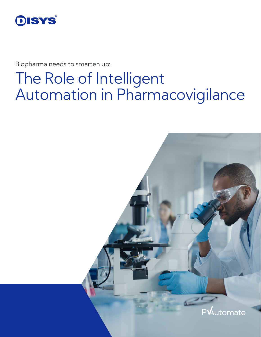

Biopharma needs to smarten up:

# The Role of Intelligent Automation in Pharmacovigilance

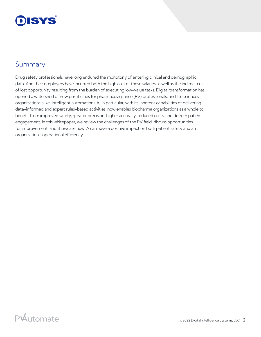## DISYS

#### Summary

Drug safety professionals have long endured the monotony of entering clinical and demographic data. And their employers have incurred both the high cost of those salaries as well as the indirect cost of lost opportunity resulting from the burden of executing low-value tasks. Digital transformation has opened a watershed of new possibilities for pharmacovigilance (PV) professionals, and life sciences organizations alike. Intelligent automation (IA) in particular, with its inherent capabilities of delivering data-informed and expert rules-based activities, now enables biopharma organizations as a whole to benefit from improved safety, greater precision, higher accuracy, reduced costs, and deeper patient engagement. In this whitepaper, we review the challenges of the PV field, discuss opportunities for improvement, and showcase how IA can have a positive impact on both patient safety and an organization's operational efficiency.

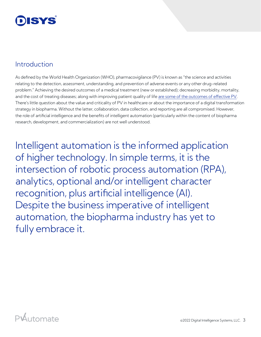#### Introduction

As defined by the World Health Organization (WHO), pharmacovigilance (PV) is known as "the science and activities relating to the detection, assessment, understanding, and prevention of adverse events or any other drug-related problem." Achieving the desired outcomes of a medical treatment (new or established); decreasing morbidity, mortality, and the cost of treating diseases; along with improving patient quality of life [are some of the outcomes of effective PV](https://www.sciencedirect.com/topics/pharmacology-toxicology-and-pharmaceutical-science/pharmacovigilance). There's little question about the value and criticality of PV in healthcare or about the importance of a digital transformation strategy in biopharma. Without the latter, collaboration, data collection, and reporting are all compromised. However, the role of artificial intelligence and the benefits of intelligent automation (particularly within the content of biopharma research, development, and commercialization) are not well understood.

Intelligent automation is the informed application of higher technology. In simple terms, it is the intersection of robotic process automation (RPA), analytics, optional and/or intelligent character recognition, plus artificial intelligence (AI). Despite the business imperative of intelligent automation, the biopharma industry has yet to fully embrace it.

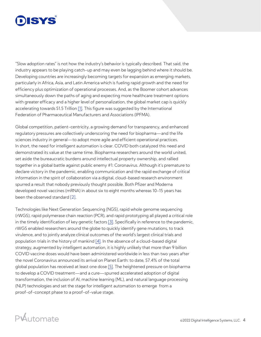## DISYS

"Slow adoption rates" is not how the industry's behavior is typically described. That said, the industry appears to be playing catch-up and may even be lagging behind where it should be. Developing countries are increasingly becoming targets for expansion as emerging markets, particularly in Africa, Asia, and Latin America which is fueling rapid growth and the need for efficiency plus optimization of operational processes. And, as the Boomer cohort advances simultaneously down the paths of aging and expecting more healthcare treatment options with greater efficacy and a higher level of personalization, the global market cap is quickly accelerating towards \$1.5 Trillion [\[1\].](https://www.ifpma.org/wp-content/uploads/2017/02/IFPMA-Facts-And-Figures-2017.pdf) This figure was suggested by the International Federation of Pharmaceutical Manufacturers and Associations (IPFMA).

Global competition, patient-centricity, a growing demand for transparency, and enhanced regulatory pressures are collectively underscoring the need for biopharma—and the life sciences industry in general—to adopt more agile and efficient operational practices. In short, the need for intelligent automation is clear. COVID both catalyzed this need and demonstrated its value at the same time. Biopharma researchers around the world united, set aside the bureaucratic burdens around intellectual property ownership, and rallied together in a global battle against public enemy #1: Coronavirus. Although it's premature to declare victory in the pandemic, enabling communication and the rapid exchange of critical information in the spirit of collaboration via a digital, cloud-based research environment spurred a result that nobody previously thought possible. Both Pfizer and Moderna developed novel vaccines (mRNA) in about six to eight months whereas 10-15 years has been the observed standard [\[2\].](https://www.biospace.com/article/a-timeline-of-covid-19-vaccine-development/)

Technologies like Next Generation Sequencing (NGS), rapid whole genome sequencing (rWGS), rapid polymerase chain reaction (PCR), and rapid prototyping all played a critical role in the timely identification of key genetic factors [\[3\]](https://www.nature.com/articles/s41525-021-00192-x). Specifically in reference to the pandemic, rWGS enabled researchers around the globe to quickly identify gene mutations, to track virulence, and to jointly analyze clinical outcomes of the world's largest clinical trials and population trials in the history of mankind [\[4\].](https://www.washington.edu/news/2021/05/07/clinical-trials-brought-us-covid-vaccines-but-were-in-largescale-population-trials-now-and-will-learn-more/) In the absence of a cloud-based digital strategy, augmented by intelligent automation, it is highly unlikely that more than 9 billion COVID vaccine doses would have been administered worldwide in less than two years after the novel Coronavirus announced its arrival on Planet Earth: to date, 57.4% of the total global population has received at least one dose [\[5\].](https://ourworldindata.org/covid-vaccinations?country=USA) The heightened pressure on biopharma to develop a COVID treatment—and a cure—spurred accelerated adoption of digital transformation, the inclusion of AI, machine learning (ML), and natural language processing (NLP) technologies and set the stage for intelligent automation to emerge from a proof-of-concept phase to a proof-of-value stage.

#### PUutomate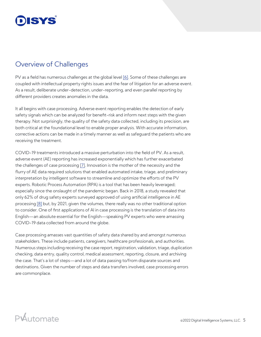#### Overview of Challenges

PV as a field has numerous challenges at the global level [\[6\]](https://www.sciencedirect.com/topics/pharmacology-toxicology-and-pharmaceutical-science/pharmacovigilance). Some of these challenges are coupled with intellectual property rights issues and the fear of litigation for an adverse event. As a result, deliberate under-detection, under-reporting, and even parallel reporting by different providers creates anomalies in the data.

It all begins with case processing. Adverse event reporting enables the detection of early safety signals which can be analyzed for benefit-risk and inform next steps with the given therapy. Not surprisingly, the quality of the safety data collected, including its precision, are both critical at the foundational level to enable proper analysis. With accurate information, corrective actions can be made in a timely manner as well as safeguard the patients who are receiving the treatment.

COVID-19 treatments introduced a massive perturbation into the field of PV. As a result, adverse event (AE) reporting has increased exponentially which has further exacerbated the challenges of case processing [\[7\]](https://www.pharmaceutical-technology.com/features/pharmacovigilance-covid-19-drug-safety-pandemic/). Innovation is the mother of the necessity and the flurry of AE data required solutions that enabled automated intake, triage, and preliminary interpretation by intelligent software to streamline and optimize the efforts of the PV experts. Robotic Process Automation (RPA) is a tool that has been heavily leveraged; especially since the onslaught of the pandemic began. Back in 2018, a study revealed that only 62% of drug safety experts surveyed approved of using artificial intelligence in AE processing [\[8\]](https://www.pharmaceutical-technology.com/news/study-finds-about-60-of-drug-safety-experts-prefer-ai/) but, by 2021, given the volumes, there really was no other traditional option to consider. One of first applications of AI in case processing is the translation of data into English—an absolute essential for the English—speaking PV experts who were amassing COVID-19 data collected from around the globe.

Case processing amasses vast quantities of safety data shared by and amongst numerous stakeholders. These include patients, caregivers, healthcare professionals, and authorities. Numerous steps including receiving the case report, registration, validation, triage, duplication checking, data entry, quality control, medical assessment, reporting, closure, and archiving the case. That's a lot of steps—and a lot of data passing to/from disparate sources and destinations. Given the number of steps and data transfers involved, case processing errors are commonplace.

### PAutomate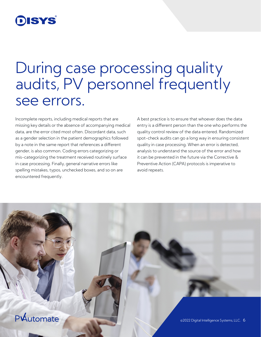## DISYS

# During case processing quality audits, PV personnel frequently see errors.

Incomplete reports, including medical reports that are missing key details or the absence of accompanying medical data, are the error cited most often. Discordant data, such as a gender selection in the patient demographics followed by a note in the same report that references a different gender, is also common. Coding errors categorizing or mis-categorizing the treatment received routinely surface in case processing. Finally, general narrative errors like spelling mistakes, typos, unchecked boxes, and so on are encountered frequently.

A best practice is to ensure that whoever does the data entry is a different person than the one who performs the quality control review of the data entered. Randomized spot-check audits can go a long way in ensuring consistent quality in case processing. When an error is detected, analysis to understand the source of the error and how it can be prevented in the future via the Corrective & Preventive Action (CAPA) protocols is imperative to avoid repeats.

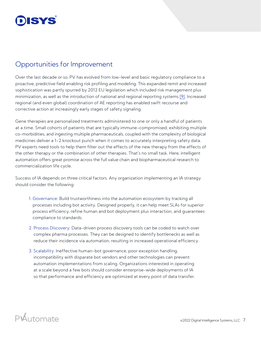#### Opportunities for Improvement

Over the last decade or so, PV has evolved from low-level and basic regulatory compliance to a proactive, predictive field enabling risk profiling and modeling. This expanded remit and increased sophistication was partly spurred by 2012 EU legislation which included risk management plus minimization, as well as the introduction of national and regional reporting systems [\[9\].](https://www.dsru.org/how-pharmacovigilance-needs-to-adapt-in-order-to-handle-the-challenges-of-advanced-therapies-and-the-covid-19-pandemic/) Increased regional (and even global) coordination of AE reporting has enabled swift recourse and corrective action at increasingly early stages of safety signaling.

Gene therapies are personalized treatments administered to one or only a handful of patients at a time. Small cohorts of patients that are typically immune-compromised, exhibiting multiple co-morbidities, and ingesting multiple pharmaceuticals, coupled with the complexity of biological medicines deliver a 1-2 knockout punch when it comes to accurately interpreting safety data. PV experts need tools to help them filter out the effects of the new therapy from the effects of the other therapy or the combination of other therapies. That's no small task. Here, intelligent automation offers great promise across the full value chain and biopharmaceutical research to commercialization life cycle.

Success of IA depends on three critical factors. Any organization implementing an IA strategy should consider the following:

- 1. Governance: Build trustworthiness into the automation ecosystem by tracking all processes including bot activity. Designed properly, it can help meet SLAs for superior process efficiency, refine human and bot deployment plus interaction, and guarantees compliance to standards.
- 2. Process Discovery: Data-driven process discovery tools can be coded to watch over complex pharma processes. They can be designed to identify bottlenecks as well as reduce their incidence via automation, resulting in increased operational efficiency.
- 3. Scalability: Ineffective human-bot governance, poor exception handling, incompatibility with disparate bot vendors and other technologies can prevent automation implementations from scaling. Organizations interested in operating at a scale beyond a few bots should consider enterprise-wide deployments of IA so that performance and efficiency are optimized at every point of data transfer.

#### PWutomate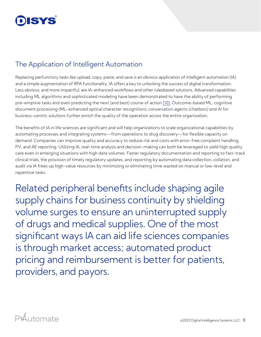

#### The Application of Intelligent Automation

Replacing perfunctory tasks like upload, copy, paste, and save is an obvious application of intelligent automation (IA) and a simple augmentation of RPA functionality. IA offers a key to unlocking the success of digital transformation. Less obvious, and more impactful, are IA-enhanced workflows and other rulesbased solutions. Advanced capabilities including ML algorithms and sophisticated modeling have been demonstrated to have the ability of performing pre-emptive tasks and even predicting the next (and best) course of action [\[10\]](#page-9-0). Outcome-based ML, cognitive document processing (ML-enhanced optical character recognition), conversation agents (chatbots) and AI for business-centric solutions further enrich the quality of the operation across the entire organization.

The benefits of IA in life sciences are significant and will help organizations to scale organizational capabilities by automating processes and integrating systems—from operations to drug discovery—for flexible capacity on demand. Companies can improve quality and accuracy to reduce risk and costs with error-free complaint handling, PV, and AE reporting. Utilizing IA, real-time analysis and decision-making can both be leveraged to yield high quality care even in emerging situations with high data volumes. Faster regulatory documentation and reporting to fast-track clinical trials, the provision of timely regulatory updates, and reporting by automating data collection, collation, and audit via IA frees up high-value resources by minimizing or eliminating time wasted on manual or low-level and repetitive tasks.

Related peripheral benefits include shaping agile supply chains for business continuity by shielding volume surges to ensure an uninterrupted supply of drugs and medical supplies. One of the most significant ways IA can aid life sciences companies is through market access; automated product pricing and reimbursement is better for patients, providers, and payors.

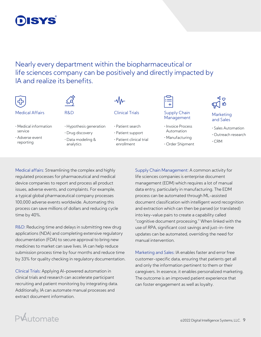

Nearly every department within the biopharmaceutical or life sciences company can be positively and directly impacted by IA and realize its benefits.

#### Medical Affairs **R&D** Clinical Trials Supply Chain

- Medical information service
- Adverse event reporting
- 
- Hypothesis generation • Drug discovery
- Data modeling & analytics

| –vγv–  |     |      |  |
|--------|-----|------|--|
| $\sim$ | . . | $ -$ |  |

 $\Lambda$ .

- Patient search
- Patient support
- Patient clinical trial enrollment



#### Supply Chain<br>Management Marketing

- Invoice Process Automation
- Manufacturing
- Order Shipment

# ๔ๅ๑

#### and Sales

- Sales Automation
- Outreach research
- CRM

Medical affairs: Streamlining the complex and highly regulated processes for pharmaceutical and medical device companies to report and process all product issues, adverse events, and complaints. For example, a typical global pharmaceutical company processes 100,000 adverse events worldwide. Automating this process can save millions of dollars and reducing cycle time by 40%.

R&D: Reducing time and delays in submitting new drug applications (NDA) and completing extensive regulatory documentation (FDA) to secure approval to bring new medicines to market can save lives. IA can help reduce submission process time by four months and reduce time by 33% for quality checking in regulatory documentation.

Clinical Trials: Applying AI-powered automation in clinical trials and research can accelerate participant recruiting and patient monitoring by integrating data. Additionally, IA can automate manual processes and extract document information.

Supply Chain Management: A common activity for life sciences companies is enterprise document management (EDM) which requires a lot of manual data entry, particularly in manufacturing. The EDM process can be automated through ML-assisted document classification with intelligent word recognition and extraction which can then be parsed (or translated) into key-value pairs to create a capability called "cognitive document processing." When linked with the use of RPA, significant cost savings and just-in-time updates can be automated, overriding the need for manual intervention.

Marketing and Sales: IA enables faster and error free customer-specific data, ensuring that patients get all and only the information pertinent to them or their caregivers. In essence, it enables personalized marketing. The outcome is an improved patient experience that can foster engagement as well as loyalty.

## PAutomate